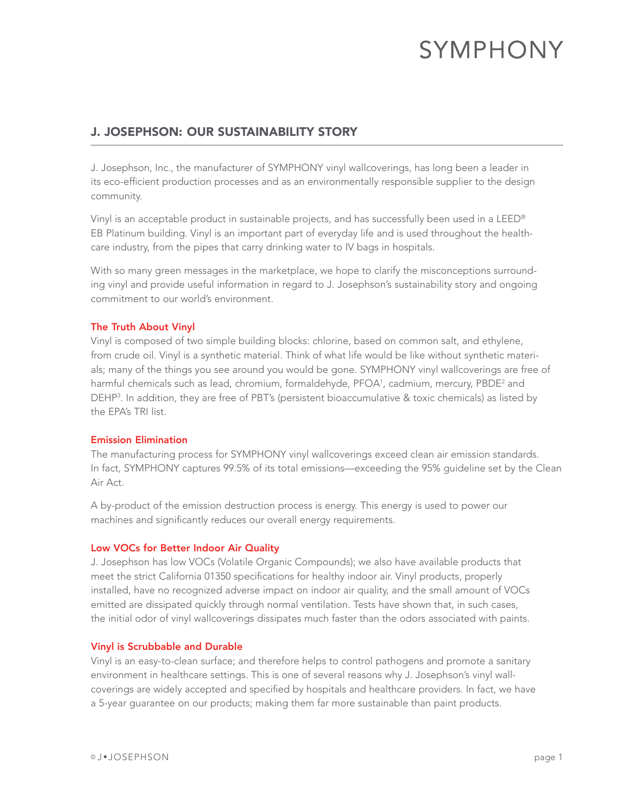# **SYMPHONY**

# J. JOSEPHSON: OUR SUSTAINABILITY STORY

J. Josephson, Inc., the manufacturer of SYMPHONY vinyl wallcoverings, has long been a leader in its eco-efficient production processes and as an environmentally responsible supplier to the design community.

Vinyl is an acceptable product in sustainable projects, and has successfully been used in a LEED® EB Platinum building. Vinyl is an important part of everyday life and is used throughout the healthcare industry, from the pipes that carry drinking water to IV bags in hospitals.

With so many green messages in the marketplace, we hope to clarify the misconceptions surrounding vinyl and provide useful information in regard to J. Josephson's sustainability story and ongoing commitment to our world's environment.

## The Truth About Vinyl

Vinyl is composed of two simple building blocks: chlorine, based on common salt, and ethylene, from crude oil. Vinyl is a synthetic material. Think of what life would be like without synthetic materials; many of the things you see around you would be gone. SYMPHONY vinyl wallcoverings are free of harmful chemicals such as lead, chromium, formaldehyde, PFOA<sup>1</sup>, cadmium, mercury, PBDE<sup>2</sup> and DEHP3 . In addition, they are free of PBT's (persistent bioaccumulative & toxic chemicals) as listed by the EPA's TRI list.

### Emission Elimination

The manufacturing process for SYMPHONY vinyl wallcoverings exceed clean air emission standards. In fact, SYMPHONY captures 99.5% of its total emissions—exceeding the 95% guideline set by the Clean Air Act.

A by-product of the emission destruction process is energy. This energy is used to power our machines and significantly reduces our overall energy requirements.

### Low VOCs for Better Indoor Air Quality

J. Josephson has low VOCs (Volatile Organic Compounds); we also have available products that meet the strict California 01350 specifications for healthy indoor air. Vinyl products, properly installed, have no recognized adverse impact on indoor air quality, and the small amount of VOCs emitted are dissipated quickly through normal ventilation. Tests have shown that, in such cases, the initial odor of vinyl wallcoverings dissipates much faster than the odors associated with paints.

### Vinyl is Scrubbable and Durable

Vinyl is an easy-to-clean surface; and therefore helps to control pathogens and promote a sanitary environment in healthcare settings. This is one of several reasons why J. Josephson's vinyl wallcoverings are widely accepted and specified by hospitals and healthcare providers. In fact, we have a 5-year guarantee on our products; making them far more sustainable than paint products.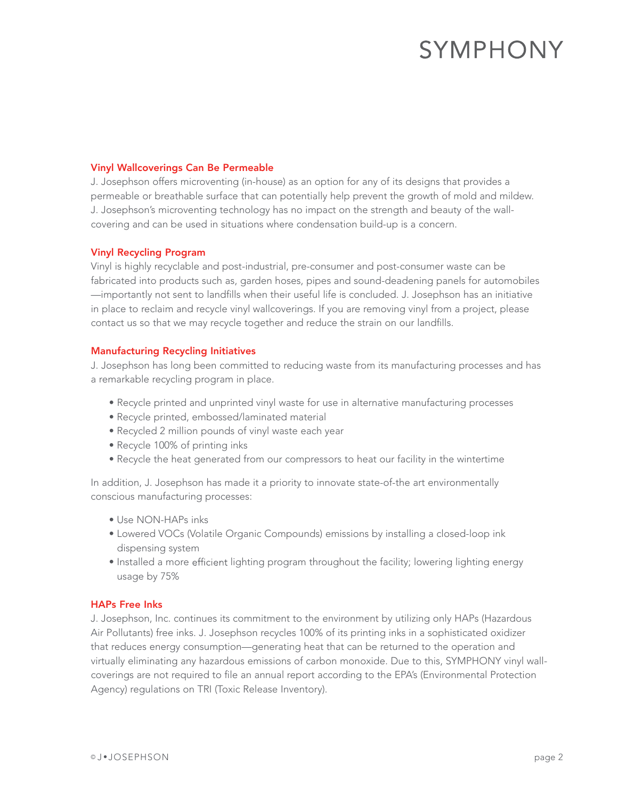# **SYMPHONY**

#### Vinyl Wallcoverings Can Be Permeable

J. Josephson offers microventing (in-house) as an option for any of its designs that provides a permeable or breathable surface that can potentially help prevent the growth of mold and mildew. J. Josephson's microventing technology has no impact on the strength and beauty of the wallcovering and can be used in situations where condensation build-up is a concern.

#### Vinyl Recycling Program

Vinyl is highly recyclable and post-industrial, pre-consumer and post-consumer waste can be fabricated into products such as, garden hoses, pipes and sound-deadening panels for automobiles —importantly not sent to landfills when their useful life is concluded. J. Josephson has an initiative in place to reclaim and recycle vinyl wallcoverings. If you are removing vinyl from a project, please contact us so that we may recycle together and reduce the strain on our landfills.

#### Manufacturing Recycling Initiatives

J. Josephson has long been committed to reducing waste from its manufacturing processes and has a remarkable recycling program in place.

- Recycle printed and unprinted vinyl waste for use in alternative manufacturing processes
- Recycle printed, embossed/laminated material
- Recycled 2 million pounds of vinyl waste each year
- Recycle 100% of printing inks
- Recycle the heat generated from our compressors to heat our facility in the wintertime

In addition, J. Josephson has made it a priority to innovate state-of-the art environmentally conscious manufacturing processes:

- Use NON-HAPs inks
- Lowered VOCs (Volatile Organic Compounds) emissions by installing a closed-loop ink dispensing system
- Installed a more efficient lighting program throughout the facility; lowering lighting energy usage by 75%

#### HAPs Free Inks

J. Josephson, Inc. continues its commitment to the environment by utilizing only HAPs (Hazardous Air Pollutants) free inks. J. Josephson recycles 100% of its printing inks in a sophisticated oxidizer that reduces energy consumption—generating heat that can be returned to the operation and virtually eliminating any hazardous emissions of carbon monoxide. Due to this, SYMPHONY vinyl wallcoverings are not required to file an annual report according to the EPA's (Environmental Protection Agency) regulations on TRI (Toxic Release Inventory).